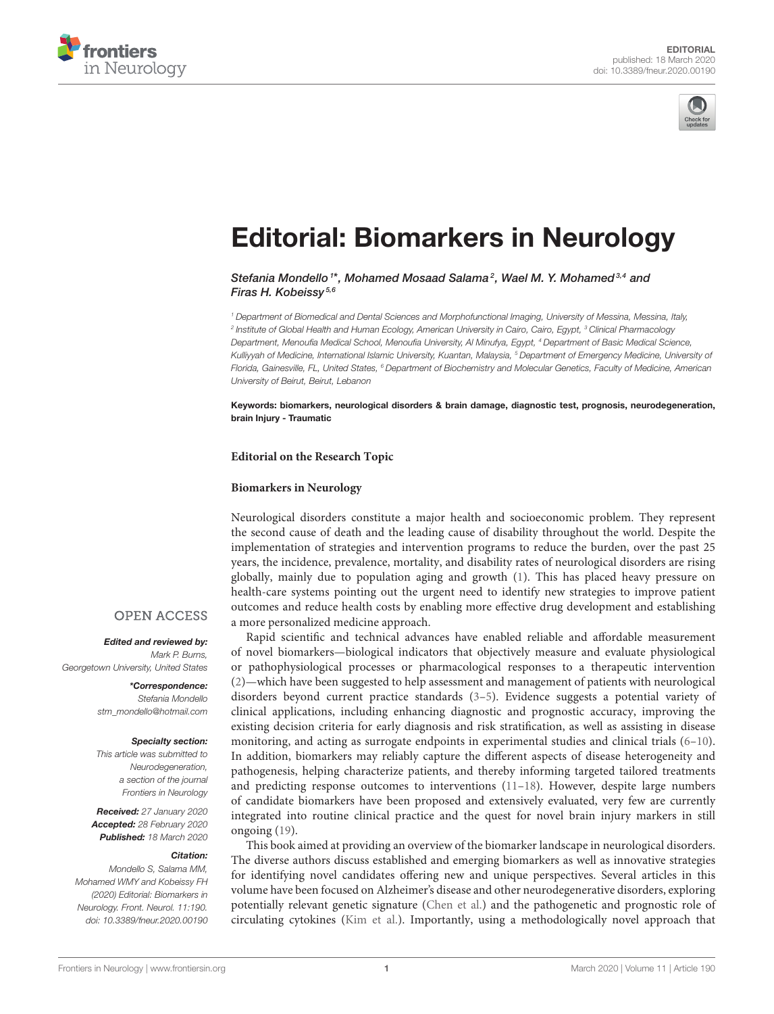



# Editorial: Biomarkers in Neurology

Stefania Mondello<sup>1\*</sup>, Mohamed Mosaad Salama<sup>2</sup>, Wael M.YY. Mohamed<sup>3,4</sup> and Firas H. Kobeissy 5,6

*<sup>1</sup> Department of Biomedical and Dental Sciences and Morphofunctional Imaging, University of Messina, Messina, Italy, 2 Institute of Global Health and Human Ecology, American University in Cairo, Cairo, Egypt, <sup>3</sup> Clinical Pharmacology Department, Menoufia Medical School, Menoufia University, Al Minufya, Egypt, <sup>4</sup> Department of Basic Medical Science, Kulliyyah of Medicine, International Islamic University, Kuantan, Malaysia, <sup>5</sup> Department of Emergency Medicine, University of Florida, Gainesville, FL, United States, <sup>6</sup> Department of Biochemistry and Molecular Genetics, Faculty of Medicine, American University of Beirut, Beirut, Lebanon*

Keywords: biomarkers, neurological disorders & brain damage, diagnostic test, prognosis, neurodegeneration, brain Injury - Traumatic

#### **Editorial on the Research Topic**

#### **Biomarkers in Neurology**

Neurological disorders constitute a major health and socioeconomic problem. They represent the second cause of death and the leading cause of disability throughout the world. Despite the implementation of strategies and intervention programs to reduce the burden, over the past 25 years, the incidence, prevalence, mortality, and disability rates of neurological disorders are rising globally, mainly due to population aging and growth (1). This has placed heavy pressure on health-care systems pointing out the urgent need to identify new strategies to improve patient outcomes and reduce health costs by enabling more effective drug development and establishing a more personalized medicine approach.

Rapid scientific and technical advances have enabled reliable and affordable measurement of novel biomarkers—biological indicators that objectively measure and evaluate physiological or pathophysiological processes or pharmacological responses to a therapeutic intervention (2)—which have been suggested to help assessment and management of patients with neurological disorders beyond current practice standards (3–5). Evidence suggests a potential variety of clinical applications, including enhancing diagnostic and prognostic accuracy, improving the existing decision criteria for early diagnosis and risk stratification, as well as assisting in disease monitoring, and acting as surrogate endpoints in experimental studies and clinical trials (6–10). In addition, biomarkers may reliably capture the different aspects of disease heterogeneity and pathogenesis, helping characterize patients, and thereby informing targeted tailored treatments and predicting response outcomes to interventions (11–18). However, despite large numbers of candidate biomarkers have been proposed and extensively evaluated, very few are currently integrated into routine clinical practice and the quest for novel brain injury markers in still ongoing (19).

This book aimed at providing an overview of the biomarker landscape in neurological disorders. The diverse authors discuss established and emerging biomarkers as well as innovative strategies for identifying novel candidates offering new and unique perspectives. Several articles in this volume have been focused on Alzheimer's disease and other neurodegenerative disorders, exploring potentially relevant genetic signature (Chen et al.) and the pathogenetic and prognostic role of circulating cytokines (Kim et al.). Importantly, using a methodologically novel approach that

### **OPEN ACCESS**

Edited and reviewed by:

*Mark P. Burns, Georgetown University, United States*

> \*Correspondence: *Stefania Mondello stm\_mondello@hotmail.com*

#### Specialty section:

*This article was submitted to Neurodegeneration, a section of the journal Frontiers in Neurology*

Received: *27 January 2020* Accepted: *28 February 2020* Published: *18 March 2020*

#### Citation:

*Mondello S, Salama MM, Mohamed WMY and Kobeissy FH (2020) Editorial: Biomarkers in Neurology. Front. Neurol. 11:190. doi: 10.3389/fneur.2020.00190*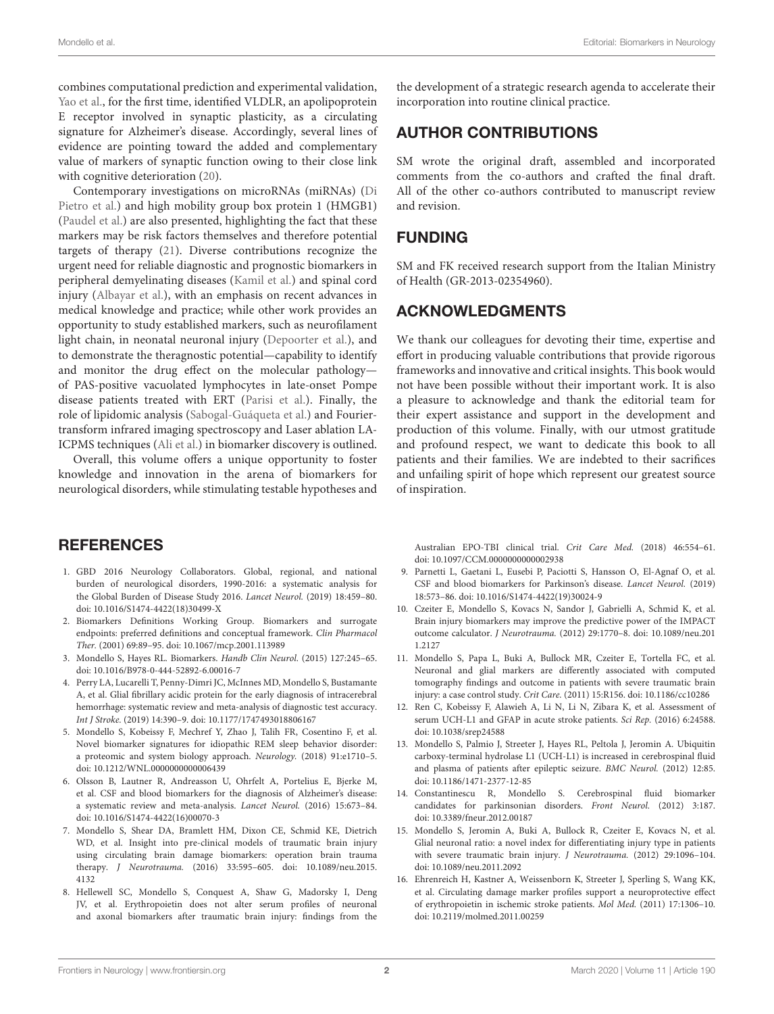combines computational prediction and experimental validation, Yao et al., for the first time, identified VLDLR, an apolipoprotein E receptor involved in synaptic plasticity, as a circulating signature for Alzheimer's disease. Accordingly, several lines of evidence are pointing toward the added and complementary value of markers of synaptic function owing to their close link with cognitive deterioration (20).

Contemporary investigations on microRNAs (miRNAs) (Di Pietro et al.) and high mobility group box protein 1 (HMGB1) (Paudel et al.) are also presented, highlighting the fact that these markers may be risk factors themselves and therefore potential targets of therapy (21). Diverse contributions recognize the urgent need for reliable diagnostic and prognostic biomarkers in peripheral demyelinating diseases (Kamil et al.) and spinal cord injury (Albayar et al.), with an emphasis on recent advances in medical knowledge and practice; while other work provides an opportunity to study established markers, such as neurofilament light chain, in neonatal neuronal injury (Depoorter et al.), and to demonstrate the theragnostic potential—capability to identify and monitor the drug effect on the molecular pathology of PAS-positive vacuolated lymphocytes in late-onset Pompe disease patients treated with ERT (Parisi et al.). Finally, the role of lipidomic analysis (Sabogal-Guáqueta et al.) and Fouriertransform infrared imaging spectroscopy and Laser ablation LA-ICPMS techniques (Ali et al.) in biomarker discovery is outlined.

Overall, this volume offers a unique opportunity to foster knowledge and innovation in the arena of biomarkers for neurological disorders, while stimulating testable hypotheses and

## **REFERENCES**

- 1. GBD 2016 Neurology Collaborators. Global, regional, and national burden of neurological disorders, 1990-2016: a systematic analysis for the Global Burden of Disease Study 2016. Lancet Neurol. (2019) 18:459–80. doi: 10.1016/S1474-4422(18)30499-X
- 2. Biomarkers Definitions Working Group. Biomarkers and surrogate endpoints: preferred definitions and conceptual framework. Clin Pharmacol Ther. (2001) 69:89–95. doi: 10.1067/mcp.2001.113989
- 3. Mondello S, Hayes RL. Biomarkers. Handb Clin Neurol. (2015) 127:245–65. doi: 10.1016/B978-0-444-52892-6.00016-7
- 4. Perry LA, Lucarelli T, Penny-Dimri JC, McInnes MD, Mondello S, Bustamante A, et al. Glial fibrillary acidic protein for the early diagnosis of intracerebral hemorrhage: systematic review and meta-analysis of diagnostic test accuracy. Int J Stroke. (2019) 14:390–9. doi: 10.1177/1747493018806167
- 5. Mondello S, Kobeissy F, Mechref Y, Zhao J, Talih FR, Cosentino F, et al. Novel biomarker signatures for idiopathic REM sleep behavior disorder: a proteomic and system biology approach. Neurology. (2018) 91:e1710–5. doi: 10.1212/WNL.0000000000006439
- 6. Olsson B, Lautner R, Andreasson U, Ohrfelt A, Portelius E, Bjerke M, et al. CSF and blood biomarkers for the diagnosis of Alzheimer's disease: a systematic review and meta-analysis. Lancet Neurol. (2016) 15:673–84. doi: 10.1016/S1474-4422(16)00070-3
- 7. Mondello S, Shear DA, Bramlett HM, Dixon CE, Schmid KE, Dietrich WD, et al. Insight into pre-clinical models of traumatic brain injury using circulating brain damage biomarkers: operation brain trauma therapy. J Neurotrauma. (2016) 33:595–605. doi: 10.1089/neu.2015. 4132
- 8. Hellewell SC, Mondello S, Conquest A, Shaw G, Madorsky I, Deng JV, et al. Erythropoietin does not alter serum profiles of neuronal and axonal biomarkers after traumatic brain injury: findings from the

the development of a strategic research agenda to accelerate their incorporation into routine clinical practice.

## AUTHOR CONTRIBUTIONS

SM wrote the original draft, assembled and incorporated comments from the co-authors and crafted the final draft. All of the other co-authors contributed to manuscript review and revision.

## FUNDING

SM and FK received research support from the Italian Ministry of Health (GR-2013-02354960).

## ACKNOWLEDGMENTS

We thank our colleagues for devoting their time, expertise and effort in producing valuable contributions that provide rigorous frameworks and innovative and critical insights. This book would not have been possible without their important work. It is also a pleasure to acknowledge and thank the editorial team for their expert assistance and support in the development and production of this volume. Finally, with our utmost gratitude and profound respect, we want to dedicate this book to all patients and their families. We are indebted to their sacrifices and unfailing spirit of hope which represent our greatest source of inspiration.

Australian EPO-TBI clinical trial. Crit Care Med. (2018) 46:554–61. doi: 10.1097/CCM.0000000000002938

- 9. Parnetti L, Gaetani L, Eusebi P, Paciotti S, Hansson O, El-Agnaf O, et al. CSF and blood biomarkers for Parkinson's disease. Lancet Neurol. (2019) 18:573–86. doi: 10.1016/S1474-4422(19)30024-9
- 10. Czeiter E, Mondello S, Kovacs N, Sandor J, Gabrielli A, Schmid K, et al. Brain injury biomarkers may improve the predictive power of the IMPACT outcome calculator. J Neurotrauma. (2012) 29:1770–8. doi: 10.1089/neu.201 1.2127
- 11. Mondello S, Papa L, Buki A, Bullock MR, Czeiter E, Tortella FC, et al. Neuronal and glial markers are differently associated with computed tomography findings and outcome in patients with severe traumatic brain injury: a case control study. Crit Care. (2011) 15:R156. doi: 10.1186/cc10286
- 12. Ren C, Kobeissy F, Alawieh A, Li N, Li N, Zibara K, et al. Assessment of serum UCH-L1 and GFAP in acute stroke patients. Sci Rep. (2016) 6:24588. doi: 10.1038/srep24588
- 13. Mondello S, Palmio J, Streeter J, Hayes RL, Peltola J, Jeromin A. Ubiquitin carboxy-terminal hydrolase L1 (UCH-L1) is increased in cerebrospinal fluid and plasma of patients after epileptic seizure. BMC Neurol. (2012) 12:85. doi: 10.1186/1471-2377-12-85
- 14. Constantinescu R, Mondello S. Cerebrospinal fluid biomarker candidates for parkinsonian disorders. Front Neurol. (2012) 3:187. doi: 10.3389/fneur.2012.00187
- 15. Mondello S, Jeromin A, Buki A, Bullock R, Czeiter E, Kovacs N, et al. Glial neuronal ratio: a novel index for differentiating injury type in patients with severe traumatic brain injury. J Neurotrauma. (2012) 29:1096–104. doi: 10.1089/neu.2011.2092
- 16. Ehrenreich H, Kastner A, Weissenborn K, Streeter J, Sperling S, Wang KK, et al. Circulating damage marker profiles support a neuroprotective effect of erythropoietin in ischemic stroke patients. Mol Med. (2011) 17:1306–10. doi: 10.2119/molmed.2011.00259